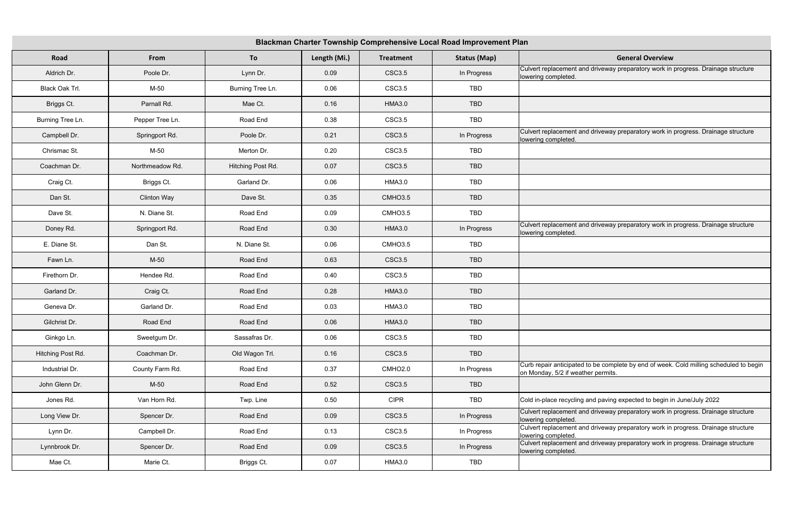| Blackman Charter Township Comprehensive Local Road Improvement Plan |                    |                   |              |                    |                     |                                                                                                                              |  |  |
|---------------------------------------------------------------------|--------------------|-------------------|--------------|--------------------|---------------------|------------------------------------------------------------------------------------------------------------------------------|--|--|
| Road                                                                | From               | To                | Length (Mi.) | <b>Treatment</b>   | <b>Status (Map)</b> | <b>General Overview</b>                                                                                                      |  |  |
| Aldrich Dr.                                                         | Poole Dr.          | Lynn Dr.          | 0.09         | <b>CSC3.5</b>      | In Progress         | Culvert replacement and driveway preparatory work in progress. Drainage structure<br>lowering completed.                     |  |  |
| Black Oak Trl.                                                      | $M-50$             | Burning Tree Ln.  | 0.06         | <b>CSC3.5</b>      | TBD                 |                                                                                                                              |  |  |
| Briggs Ct.                                                          | Parnall Rd.        | Mae Ct.           | 0.16         | <b>HMA3.0</b>      | TBD                 |                                                                                                                              |  |  |
| Burning Tree Ln.                                                    | Pepper Tree Ln.    | Road End          | 0.38         | CSC3.5             | TBD                 |                                                                                                                              |  |  |
| Campbell Dr.                                                        | Springport Rd.     | Poole Dr.         | 0.21         | <b>CSC3.5</b>      | In Progress         | Culvert replacement and driveway preparatory work in progress. Drainage structure<br>lowering completed.                     |  |  |
| Chrismac St.                                                        | M-50               | Merton Dr.        | 0.20         | <b>CSC3.5</b>      | TBD                 |                                                                                                                              |  |  |
| Coachman Dr.                                                        | Northmeadow Rd.    | Hitching Post Rd. | 0.07         | <b>CSC3.5</b>      | <b>TBD</b>          |                                                                                                                              |  |  |
| Craig Ct.                                                           | Briggs Ct.         | Garland Dr.       | 0.06         | <b>HMA3.0</b>      | TBD                 |                                                                                                                              |  |  |
| Dan St.                                                             | <b>Clinton Way</b> | Dave St.          | 0.35         | CMHO3.5            | <b>TBD</b>          |                                                                                                                              |  |  |
| Dave St.                                                            | N. Diane St.       | Road End          | 0.09         | CMHO3.5            | TBD                 |                                                                                                                              |  |  |
| Doney Rd.                                                           | Springport Rd.     | Road End          | 0.30         | <b>HMA3.0</b>      | In Progress         | Culvert replacement and driveway preparatory work in progress. Drainage structure<br>lowering completed.                     |  |  |
| E. Diane St.                                                        | Dan St.            | N. Diane St.      | 0.06         | CMHO3.5            | TBD                 |                                                                                                                              |  |  |
| Fawn Ln.                                                            | $M-50$             | Road End          | 0.63         | <b>CSC3.5</b>      | <b>TBD</b>          |                                                                                                                              |  |  |
| Firethorn Dr.                                                       | Hendee Rd.         | Road End          | 0.40         | CSC <sub>3.5</sub> | TBD                 |                                                                                                                              |  |  |
| Garland Dr.                                                         | Craig Ct.          | Road End          | 0.28         | <b>HMA3.0</b>      | TBD                 |                                                                                                                              |  |  |
| Geneva Dr.                                                          | Garland Dr.        | Road End          | 0.03         | <b>HMA3.0</b>      | TBD                 |                                                                                                                              |  |  |
| Gilchrist Dr.                                                       | Road End           | Road End          | 0.06         | <b>HMA3.0</b>      | <b>TBD</b>          |                                                                                                                              |  |  |
| Ginkgo Ln.                                                          | Sweetgum Dr.       | Sassafras Dr.     | 0.06         | <b>CSC3.5</b>      | TBD                 |                                                                                                                              |  |  |
| Hitching Post Rd.                                                   | Coachman Dr.       | Old Wagon Trl.    | 0.16         | <b>CSC3.5</b>      | TBD                 |                                                                                                                              |  |  |
| Industrial Dr.                                                      | County Farm Rd.    | Road End          | 0.37         | CMHO2.0            | In Progress         | Curb repair anticipated to be complete by end of week. Cold milling scheduled to begin<br>on Monday, 5/2 if weather permits. |  |  |
| John Glenn Dr.                                                      | $M-50$             | Road End          | 0.52         | CSC3.5             | TBD                 |                                                                                                                              |  |  |
| Jones Rd.                                                           | Van Horn Rd.       | Twp. Line         | 0.50         | <b>CIPR</b>        | TBD                 | Cold in-place recycling and paving expected to begin in June/July 2022                                                       |  |  |
| Long View Dr.                                                       | Spencer Dr.        | Road End          | 0.09         | CSC3.5             | In Progress         | Culvert replacement and driveway preparatory work in progress. Drainage structure<br>lowering completed.                     |  |  |
| Lynn Dr.                                                            | Campbell Dr.       | Road End          | 0.13         | CSC3.5             | In Progress         | Culvert replacement and driveway preparatory work in progress. Drainage structure<br>lowering completed.                     |  |  |
| Lynnbrook Dr.                                                       | Spencer Dr.        | Road End          | 0.09         | CSC3.5             | In Progress         | Culvert replacement and driveway preparatory work in progress. Drainage structure<br>lowering completed.                     |  |  |
| Mae Ct.                                                             | Marie Ct.          | Briggs Ct.        | 0.07         | <b>HMA3.0</b>      | TBD                 |                                                                                                                              |  |  |

| <b>General Overview</b>                                                        |
|--------------------------------------------------------------------------------|
| d driveway preparatory work in progress. Drainage structure                    |
|                                                                                |
|                                                                                |
|                                                                                |
| d driveway preparatory work in progress. Drainage structure                    |
|                                                                                |
|                                                                                |
|                                                                                |
|                                                                                |
|                                                                                |
| d driveway preparatory work in progress. Drainage structure                    |
|                                                                                |
|                                                                                |
|                                                                                |
|                                                                                |
|                                                                                |
|                                                                                |
|                                                                                |
|                                                                                |
| to be complete by end of week. Cold milling scheduled to begin<br>ner permits. |
|                                                                                |
| and paving expected to begin in June/July 2022                                 |
| d driveway preparatory work in progress. Drainage structure                    |
| d driveway preparatory work in progress. Drainage structure                    |
| d driveway preparatory work in progress. Drainage structure                    |
|                                                                                |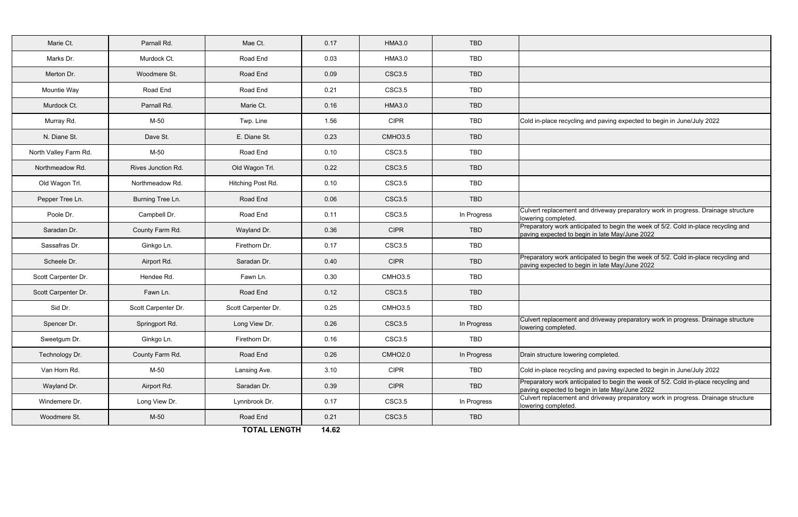| Marie Ct.             | Parnall Rd.         | Mae Ct.             | 0.17  | <b>HMA3.0</b>       | <b>TBD</b>  |                                                                                                                                      |  |
|-----------------------|---------------------|---------------------|-------|---------------------|-------------|--------------------------------------------------------------------------------------------------------------------------------------|--|
| Marks Dr.             | Murdock Ct.         | Road End            | 0.03  | <b>HMA3.0</b>       | TBD         |                                                                                                                                      |  |
| Merton Dr.            | Woodmere St.        | Road End            | 0.09  | <b>CSC3.5</b>       | <b>TBD</b>  |                                                                                                                                      |  |
| Mountie Way           | Road End            | Road End            | 0.21  | <b>CSC3.5</b>       | TBD         |                                                                                                                                      |  |
| Murdock Ct.           | Parnall Rd.         | Marie Ct.           | 0.16  | <b>HMA3.0</b>       | <b>TBD</b>  |                                                                                                                                      |  |
| Murray Rd.            | M-50                | Twp. Line           | 1.56  | <b>CIPR</b>         | TBD         | Cold in-place recycling and paving expected to begin in June/July 2022                                                               |  |
| N. Diane St.          | Dave St.            | E. Diane St.        | 0.23  | CMHO3.5             | <b>TBD</b>  |                                                                                                                                      |  |
| North Valley Farm Rd. | M-50                | Road End            | 0.10  | <b>CSC3.5</b>       | <b>TBD</b>  |                                                                                                                                      |  |
| Northmeadow Rd.       | Rives Junction Rd.  | Old Wagon Trl.      | 0.22  | <b>CSC3.5</b>       | <b>TBD</b>  |                                                                                                                                      |  |
| Old Wagon Trl.        | Northmeadow Rd.     | Hitching Post Rd.   | 0.10  | <b>CSC3.5</b>       | <b>TBD</b>  |                                                                                                                                      |  |
| Pepper Tree Ln.       | Burning Tree Ln.    | Road End            | 0.06  | <b>CSC3.5</b>       | <b>TBD</b>  |                                                                                                                                      |  |
| Poole Dr.             | Campbell Dr.        | Road End            | 0.11  | <b>CSC3.5</b>       | In Progress | Culvert replacement and driveway preparatory work in progress. Drainage structure<br>lowering completed                              |  |
| Saradan Dr.           | County Farm Rd.     | Wayland Dr.         | 0.36  | <b>CIPR</b>         | <b>TBD</b>  | Preparatory work anticipated to begin the week of 5/2. Cold in-place recycling and<br>paving expected to begin in late May/June 2022 |  |
| Sassafras Dr.         | Ginkgo Ln.          | Firethorn Dr.       | 0.17  | <b>CSC3.5</b>       | <b>TBD</b>  |                                                                                                                                      |  |
| Scheele Dr.           | Airport Rd.         | Saradan Dr.         | 0.40  | <b>CIPR</b>         | <b>TBD</b>  | Preparatory work anticipated to begin the week of 5/2. Cold in-place recycling and<br>paving expected to begin in late May/June 2022 |  |
| Scott Carpenter Dr.   | Hendee Rd.          | Fawn Ln.            | 0.30  | CMHO3.5             | <b>TBD</b>  |                                                                                                                                      |  |
| Scott Carpenter Dr.   | Fawn Ln.            | Road End            | 0.12  | <b>CSC3.5</b>       | <b>TBD</b>  |                                                                                                                                      |  |
| Sid Dr.               | Scott Carpenter Dr. | Scott Carpenter Dr. | 0.25  | CMHO3.5             | <b>TBD</b>  |                                                                                                                                      |  |
| Spencer Dr.           | Springport Rd.      | Long View Dr.       | 0.26  | <b>CSC3.5</b>       | In Progress | Culvert replacement and driveway preparatory work in progress. Drainage structure<br>lowering completed.                             |  |
| Sweetgum Dr.          | Ginkgo Ln.          | Firethorn Dr.       | 0.16  | <b>CSC3.5</b>       | TBD         |                                                                                                                                      |  |
| Technology Dr.        | County Farm Rd.     | Road End            | 0.26  | CMHO <sub>2.0</sub> | In Progress | Drain structure lowering completed.                                                                                                  |  |
| Van Horn Rd.          | M-50                | Lansing Ave.        | 3.10  | <b>CIPR</b>         | TBD         | Cold in-place recycling and paving expected to begin in June/July 2022                                                               |  |
| Wayland Dr.           | Airport Rd.         | Saradan Dr.         | 0.39  | <b>CIPR</b>         | TBD         | Preparatory work anticipated to begin the week of 5/2. Cold in-place recycling and<br>paving expected to begin in late May/June 2022 |  |
| Windemere Dr.         | Long View Dr.       | Lynnbrook Dr.       | 0.17  | CSC3.5              | In Progress | Culvert replacement and driveway preparatory work in progress. Drainage structure<br>lowering completed.                             |  |
| Woodmere St.          | M-50                | Road End            | 0.21  | <b>CSC3.5</b>       | TBD         |                                                                                                                                      |  |
|                       |                     | TOTAL LENGTH        | 14.62 |                     |             |                                                                                                                                      |  |

**TOTAL LENGTH 14.62**

|  | and paving expected to begin in June/July 2022 |  |  |  |
|--|------------------------------------------------|--|--|--|
|  |                                                |  |  |  |